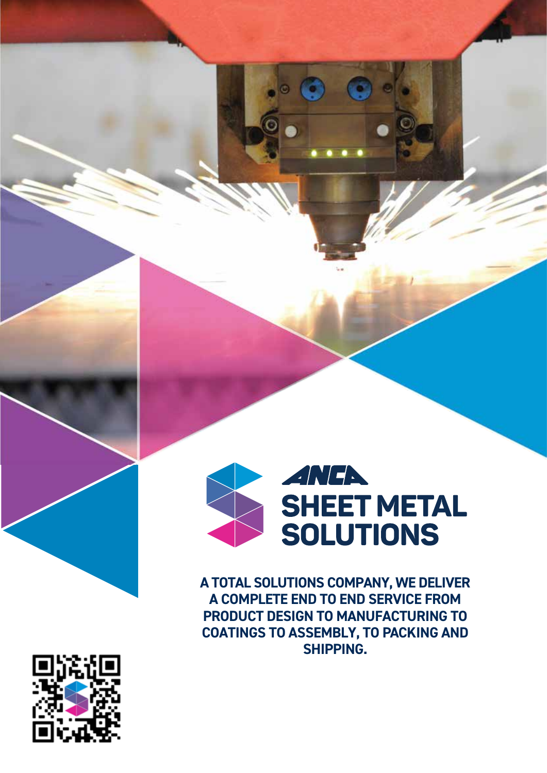

**A TOTAL SOLUTIONS COMPANY, WE DELIVER A COMPLETE END TO END SERVICE FROM PRODUCT DESIGN TO MANUFACTURING TO COATINGS TO ASSEMBLY, TO PACKING AND SHIPPING.** 

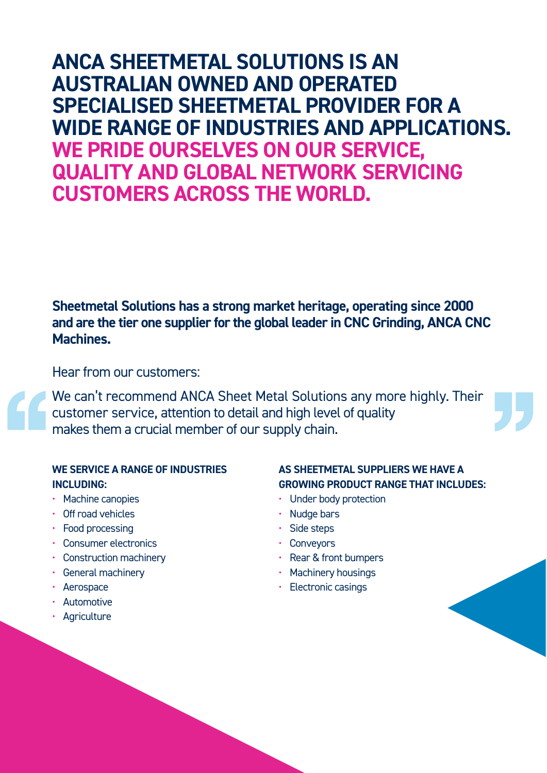# **ANCA SHEETMETAL SOLUTIONS IS AN AUSTRALIAN OWNED AND OPERATED SPECIALISED SHEETMETAL PROVIDER FOR A WIDE RANGE OF INDUSTRIES AND APPLICATIONS. WE PRIDE OURSELVES ON OUR SERVICE, QUALITY AND GLOBAL NETWORK SERVICING CUSTOMERS ACROSS THE WORLD.**

**Sheetmetal Solutions has a strong market heritage, operating since 2000 and are the tier one supplier for the global leader in CNC Grinding, ANCA CNC Machines.** 

Hear from our customers:

We can't recommend ANCA Sheet Metal Solutions any more highly. Their customer service, attention to detail and high level of quality makes them a crucial member of our supply chain.

### **WE SERVICE A RANGE OF INDUSTRIES INCLUDING:**

- Machine canopies
- Off road vehicles
- Food processing
- Consumer electronics
- Construction machinery
- General machinery
- Aerospace
- Automotive
- Agriculture

### **AS SHEETMETAL SUPPLIERS WE HAVE A GROWING PRODUCT RANGE THAT INCLUDES:**

- Under body protection
- Nudge bars
- Side steps
- **Conveyors**
- Rear & front bumpers
- Machinery housings
- Electronic casings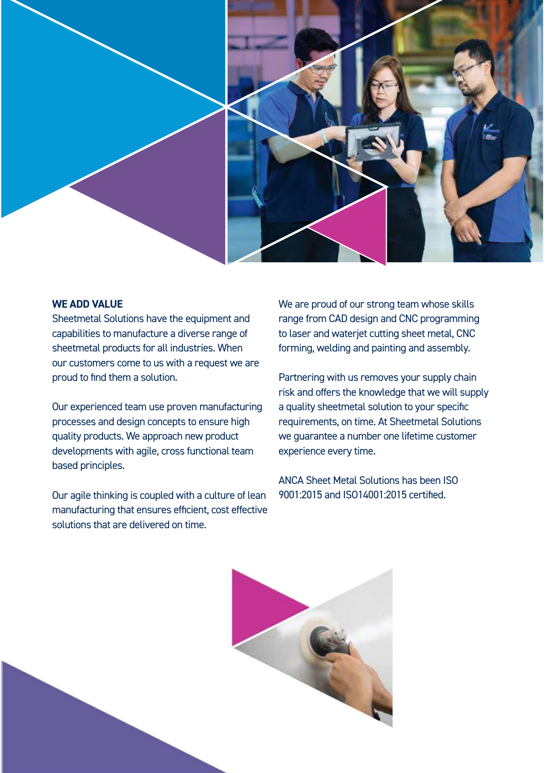

#### **WE ADD VALUE**

Sheetmetal Solutions have the equipment and capabilities to manufacture a diverse range of sheetmetal products for all industries. When our customers come to us with a request we are proud to find them a solution.

Our experienced team use proven manufacturing processes and design concepts to ensure high quality products. We approach new product developments with agile, cross functional team based principles.

Our agile thinking is coupled with a culture of lean manufacturing that ensures efficient, cost effective solutions that are delivered on time.

We are proud of our strong team whose skills range from CAD design and CNC programming to laser and waterjet cutting sheet metal, CNC forming, welding and painting and assembly.

Partnering with us removes your supply chain risk and offers the knowledge that we will supply a quality sheetmetal solution to your specific requirements, on time. At Sheetmetal Solutions we guarantee a number one lifetime customer experience every time.

ANCA Sheet Metal Solutions has been ISO 9001:2015 and ISO14001:2015 certified.

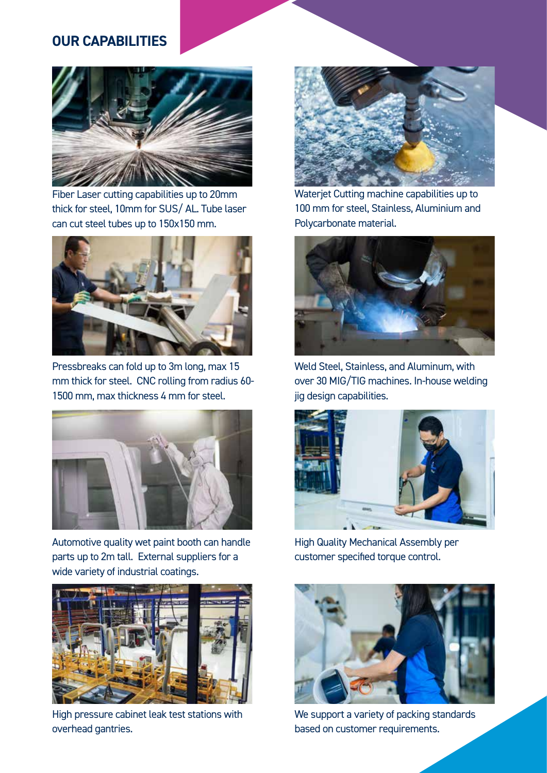### **OUR CAPABILITIES**



Fiber Laser cutting capabilities up to 20mm thick for steel, 10mm for SUS/ AL. Tube laser can cut steel tubes up to 150x150 mm.



Pressbreaks can fold up to 3m long, max 15 mm thick for steel. CNC rolling from radius 60- 1500 mm, max thickness 4 mm for steel.



Automotive quality wet paint booth can handle parts up to 2m tall. External suppliers for a wide variety of industrial coatings.



High pressure cabinet leak test stations with overhead gantries.



Waterjet Cutting machine capabilities up to 100 mm for steel, Stainless, Aluminium and Polycarbonate material.



Weld Steel, Stainless, and Aluminum, with over 30 MIG/TIG machines. In-house welding jig design capabilities.



High Quality Mechanical Assembly per customer specified torque control.



We support a variety of packing standards based on customer requirements.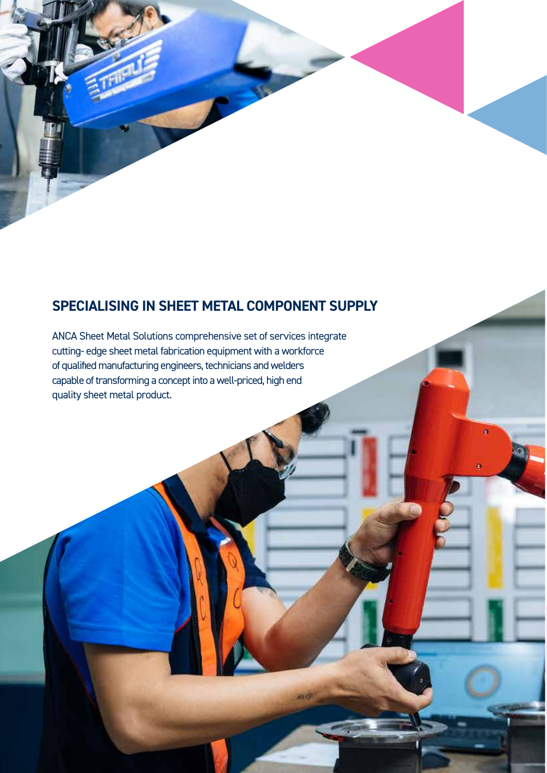## **SPECIALISING IN SHEET METAL COMPONENT SUPPLY**

**HUOT** 

 $\bullet$ 

ö

ANCA Sheet Metal Solutions comprehensive set of services integrate cutting- edge sheet metal fabrication equipment with a workforce of qualified manufacturing engineers, technicians and welders capable of transforming a concept into a well-priced, high end quality sheet metal product.